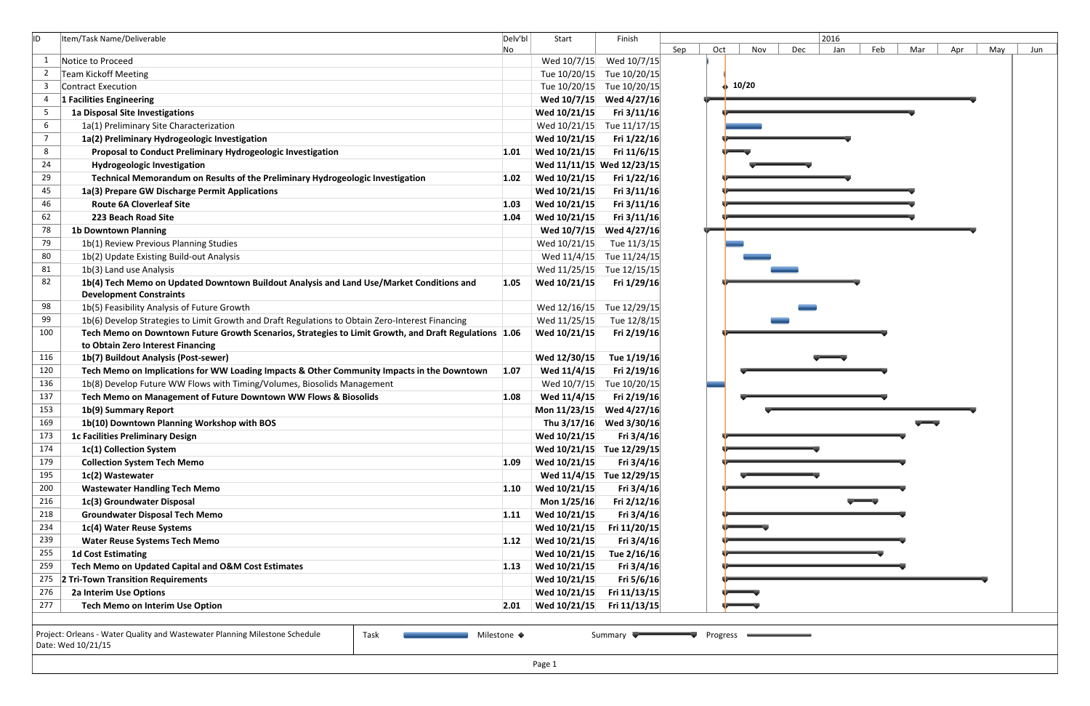| ID. | Item/Task Name/Deliverable                                                                            | Delv'bl | Start                     | Finish       |     |     |       |     |
|-----|-------------------------------------------------------------------------------------------------------|---------|---------------------------|--------------|-----|-----|-------|-----|
|     |                                                                                                       | No      |                           |              | Sep | Oct |       | Nov |
| -1  | Notice to Proceed                                                                                     |         | Wed 10/7/15               | Wed 10/7/15  |     |     |       |     |
|     | <b>Team Kickoff Meeting</b>                                                                           |         | Tue 10/20/15              | Tue 10/20/15 |     |     |       |     |
| -3  | Contract Execution                                                                                    |         | Tue 10/20/15              | Tue 10/20/15 |     |     | 10/20 |     |
| 4   | 1 Facilities Engineering                                                                              |         | Wed 10/7/15               | Wed 4/27/16  |     |     |       |     |
| 5   | 1a Disposal Site Investigations                                                                       |         | Wed 10/21/15              | Fri 3/11/16  |     |     |       |     |
| 6   | 1a(1) Preliminary Site Characterization                                                               |         | Wed 10/21/15              | Tue 11/17/15 |     |     |       |     |
| 7   | 1a(2) Preliminary Hydrogeologic Investigation                                                         |         | Wed 10/21/15              | Fri 1/22/16  |     |     |       |     |
| 8   | Proposal to Conduct Preliminary Hydrogeologic Investigation                                           | 1.01    | Wed 10/21/15              | Fri 11/6/15  |     |     |       |     |
| 24  | <b>Hydrogeologic Investigation</b>                                                                    |         | Wed 11/11/15 Wed 12/23/15 |              |     |     |       |     |
| 29  | Technical Memorandum on Results of the Preliminary Hydrogeologic Investigation                        | 1.02    | Wed 10/21/15              | Fri 1/22/16  |     |     |       |     |
| 45  | 1a(3) Prepare GW Discharge Permit Applications                                                        |         | Wed 10/21/15              | Fri 3/11/16  |     |     |       |     |
| 46  | <b>Route 6A Cloverleaf Site</b>                                                                       | 1.03    | Wed 10/21/15              | Fri 3/11/16  |     |     |       |     |
| 62  | 223 Beach Road Site                                                                                   | 1.04    | Wed 10/21/15              | Fri 3/11/16  |     |     |       |     |
| 78  | <b>1b Downtown Planning</b>                                                                           |         | Wed 10/7/15               | Wed 4/27/16  |     |     |       |     |
| 79  | 1b(1) Review Previous Planning Studies                                                                |         | Wed 10/21/15              | Tue 11/3/15  |     |     |       |     |
| 80  | 1b(2) Update Existing Build-out Analysis                                                              |         | Wed 11/4/15               | Tue 11/24/15 |     |     |       |     |
| 81  | 1b(3) Land use Analysis                                                                               |         | Wed 11/25/15              | Tue 12/15/15 |     |     |       |     |
| 82  | 1b(4) Tech Memo on Updated Downtown Buildout Analysis and Land Use/Market Conditions and              | 1.05    | Wed 10/21/15              | Fri 1/29/16  |     |     |       |     |
|     | <b>Development Constraints</b>                                                                        |         |                           |              |     |     |       |     |
| 98  | 1b(5) Feasibility Analysis of Future Growth                                                           |         | Wed 12/16/15              | Tue 12/29/15 |     |     |       |     |
| 99  | 1b(6) Develop Strategies to Limit Growth and Draft Regulations to Obtain Zero-Interest Financing      |         | Wed 11/25/15              | Tue 12/8/15  |     |     |       |     |
| 100 | Tech Memo on Downtown Future Growth Scenarios, Strategies to Limit Growth, and Draft Regulations 1.06 |         | Wed 10/21/15              | Fri 2/19/16  |     |     |       |     |
|     | to Obtain Zero Interest Financing                                                                     |         |                           |              |     |     |       |     |
| 116 | 1b(7) Buildout Analysis (Post-sewer)                                                                  |         | Wed 12/30/15              | Tue 1/19/16  |     |     |       |     |
| 120 | Tech Memo on Implications for WW Loading Impacts & Other Community Impacts in the Downtown            | 1.07    | Wed 11/4/15               | Fri 2/19/16  |     |     |       |     |
| 136 | 1b(8) Develop Future WW Flows with Timing/Volumes, Biosolids Management                               |         | Wed 10/7/15               | Tue 10/20/15 |     |     |       |     |
| 137 | Tech Memo on Management of Future Downtown WW Flows & Biosolids                                       | 1.08    | Wed 11/4/15               | Fri 2/19/16  |     |     |       |     |
| 153 | 1b(9) Summary Report                                                                                  |         | Mon 11/23/15              | Wed 4/27/16  |     |     |       |     |
| 169 | 1b(10) Downtown Planning Workshop with BOS                                                            |         | Thu 3/17/16               | Wed 3/30/16  |     |     |       |     |
| 173 | <b>1c Facilities Preliminary Design</b>                                                               |         | Wed 10/21/15              | Fri 3/4/16   |     |     |       |     |
| 174 | 1c(1) Collection System                                                                               |         | Wed 10/21/15              | Tue 12/29/15 |     |     |       |     |
| 179 | <b>Collection System Tech Memo</b>                                                                    | 1.09    | Wed 10/21/15              | Fri $3/4/16$ |     |     |       |     |
| 195 | 1c(2) Wastewater                                                                                      |         | Wed 11/4/15               | Tue 12/29/15 |     |     |       |     |
| 200 | <b>Wastewater Handling Tech Memo</b>                                                                  | 1.10    | Wed 10/21/15              | Fri 3/4/16   |     |     |       |     |
| 216 | 1c(3) Groundwater Disposal                                                                            |         | Mon 1/25/16               | Fri 2/12/16  |     |     |       |     |
| 218 | <b>Groundwater Disposal Tech Memo</b>                                                                 | 1.11    | Wed 10/21/15              | Fri 3/4/16   |     |     |       |     |
| 234 | 1c(4) Water Reuse Systems                                                                             |         | Wed 10/21/15              | Fri 11/20/15 |     |     |       |     |
| 239 | <b>Water Reuse Systems Tech Memo</b>                                                                  | 1.12    | Wed 10/21/15              | Fri 3/4/16   |     |     |       |     |
| 255 | <b>1d Cost Estimating</b>                                                                             |         | Wed 10/21/15              | Tue 2/16/16  |     |     |       |     |
| 259 | Tech Memo on Updated Capital and O&M Cost Estimates                                                   | 1.13    | Wed 10/21/15              | Fri 3/4/16   |     |     |       |     |
| 275 | 2 Tri-Town Transition Requirements                                                                    |         | Wed 10/21/15              | Fri 5/6/16   |     |     |       |     |
| 276 | 2a Interim Use Options                                                                                |         | Wed 10/21/15              | Fri 11/13/15 |     |     |       |     |
| 277 | Tech Memo on Interim Use Option                                                                       | 2.01    | Wed 10/21/15              | Fri 11/13/15 |     |     |       |     |
|     |                                                                                                       |         |                           |              |     |     |       |     |

|     |                  |                 |     | 2016 |     |     |     |     |     |
|-----|------------------|-----------------|-----|------|-----|-----|-----|-----|-----|
| Sep | Oct <sub>.</sub> | Nov             | Dec | Jan  | Feb | Mar | Apr | May | Jun |
|     |                  |                 |     |      |     |     |     |     |     |
|     |                  | $\frac{10}{20}$ |     |      |     |     |     |     |     |
|     |                  |                 |     |      |     |     |     |     |     |
|     |                  |                 |     |      |     |     |     |     |     |
|     |                  |                 |     |      |     |     |     |     |     |
|     |                  |                 |     |      |     |     |     |     |     |
|     |                  |                 |     |      |     |     |     |     |     |
|     |                  |                 |     |      |     |     |     |     |     |
|     |                  |                 |     |      |     |     |     |     |     |
|     |                  |                 |     |      |     |     |     |     |     |
|     |                  |                 |     |      |     |     |     |     |     |
|     |                  |                 |     |      |     |     |     |     |     |
|     |                  |                 |     |      |     |     |     |     |     |
|     |                  |                 |     |      |     |     |     |     |     |
|     |                  |                 |     |      |     |     |     |     |     |
|     | u                |                 |     |      |     |     |     |     |     |
|     |                  |                 |     |      |     |     |     |     |     |
|     |                  |                 |     |      |     |     |     |     |     |
|     |                  |                 |     |      |     |     |     |     |     |
|     |                  |                 |     |      |     |     |     |     |     |
|     |                  |                 |     |      |     |     |     |     |     |
|     |                  |                 |     |      |     |     |     |     |     |
|     |                  |                 |     |      |     |     |     |     |     |
|     |                  |                 |     |      |     |     |     |     |     |
|     |                  |                 |     |      |     | 5   |     |     |     |
|     |                  |                 |     |      |     |     |     |     |     |
|     |                  |                 |     |      |     |     |     |     |     |
|     |                  |                 |     |      |     |     |     |     |     |
|     |                  |                 |     |      |     |     |     |     |     |
|     |                  |                 |     |      |     |     |     |     |     |
|     |                  |                 |     |      |     |     |     |     |     |
|     |                  |                 |     |      |     |     |     |     |     |
|     |                  |                 |     |      |     |     |     |     |     |
|     |                  |                 |     |      |     |     |     |     |     |
|     |                  |                 |     |      |     |     |     |     |     |
|     |                  |                 |     |      |     |     |     |     |     |
|     |                  |                 |     |      |     |     |     |     |     |
|     |                  |                 |     |      |     |     |     |     |     |
|     |                  |                 |     |      |     |     |     |     |     |
|     | Progress         |                 |     |      |     |     |     |     |     |
|     |                  |                 |     |      |     |     |     |     |     |
|     |                  |                 |     |      |     |     |     |     |     |

Date: Wed 10/21/15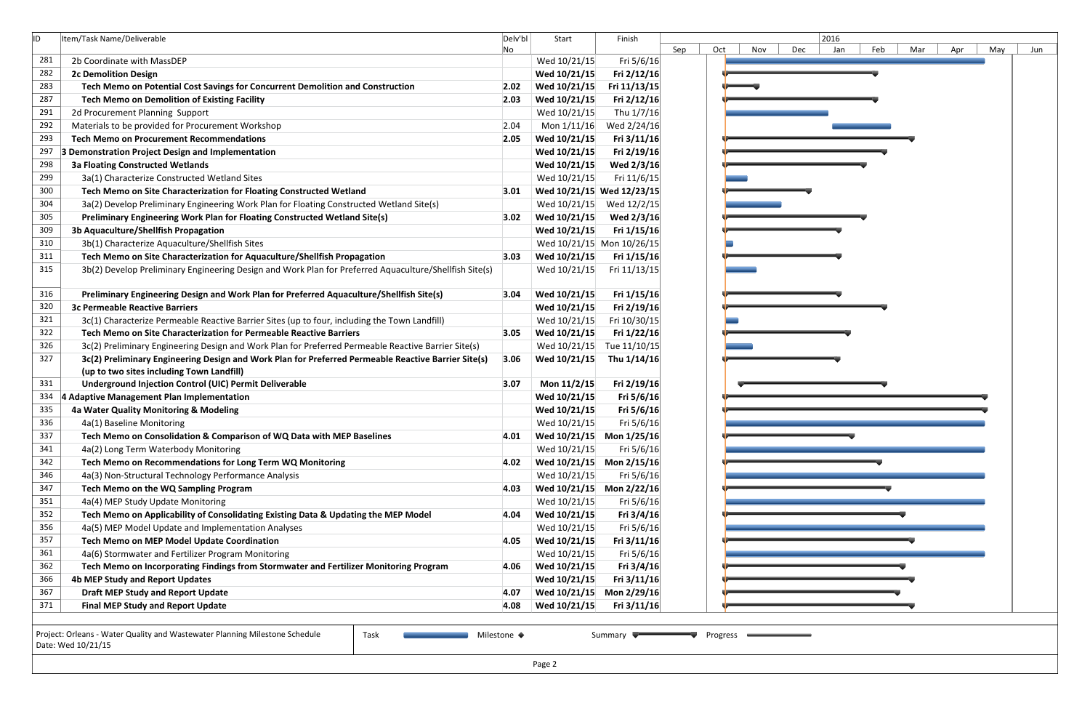| ID. | Item/Task Name/Deliverable                                                                             | Delv'bl | Start                        | Finish                    |     |     |     |
|-----|--------------------------------------------------------------------------------------------------------|---------|------------------------------|---------------------------|-----|-----|-----|
| 281 | 2b Coordinate with MassDEP                                                                             | No.     |                              |                           | Sep | Oct | Nov |
| 282 | <b>2c Demolition Design</b>                                                                            |         | Wed 10/21/15<br>Wed 10/21/15 | Fri 5/6/16<br>Fri 2/12/16 |     |     |     |
| 283 | Tech Memo on Potential Cost Savings for Concurrent Demolition and Construction                         | 2.02    | Wed 10/21/15                 | Fri 11/13/15              |     |     |     |
| 287 | <b>Tech Memo on Demolition of Existing Facility</b>                                                    | 2.03    | Wed 10/21/15                 | Fri 2/12/16               |     |     |     |
| 291 | 2d Procurement Planning Support                                                                        |         | Wed 10/21/15                 | Thu 1/7/16                |     |     |     |
| 292 | Materials to be provided for Procurement Workshop                                                      | 2.04    | Mon 1/11/16                  | Wed 2/24/16               |     |     |     |
| 293 | <b>Tech Memo on Procurement Recommendations</b>                                                        | 2.05    | Wed 10/21/15                 | Fri 3/11/16               |     |     |     |
| 297 | 3 Demonstration Project Design and Implementation                                                      |         | Wed 10/21/15                 | Fri 2/19/16               |     |     |     |
| 298 | <b>3a Floating Constructed Wetlands</b>                                                                |         | Wed 10/21/15                 | Wed 2/3/16                |     |     |     |
| 299 | 3a(1) Characterize Constructed Wetland Sites                                                           |         | Wed 10/21/15                 | Fri 11/6/15               |     |     |     |
| 300 |                                                                                                        |         |                              |                           |     |     |     |
|     | Tech Memo on Site Characterization for Floating Constructed Wetland                                    | 3.01    |                              | Wed 10/21/15 Wed 12/23/15 |     |     |     |
| 304 | 3a(2) Develop Preliminary Engineering Work Plan for Floating Constructed Wetland Site(s)               |         | Wed 10/21/15                 | Wed 12/2/15               |     |     |     |
| 305 | Preliminary Engineering Work Plan for Floating Constructed Wetland Site(s)                             | 3.02    | Wed 10/21/15                 | Wed 2/3/16                |     |     |     |
| 309 | 3b Aquaculture/Shellfish Propagation                                                                   |         | Wed 10/21/15                 | Fri 1/15/16               |     |     |     |
| 310 | 3b(1) Characterize Aquaculture/Shellfish Sites                                                         |         |                              | Wed 10/21/15 Mon 10/26/15 |     |     |     |
| 311 | Tech Memo on Site Characterization for Aquaculture/Shellfish Propagation                               | 3.03    | Wed 10/21/15                 | Fri 1/15/16               |     |     |     |
| 315 | 3b(2) Develop Preliminary Engineering Design and Work Plan for Preferred Aquaculture/Shellfish Site(s) |         | Wed 10/21/15                 | Fri 11/13/15              |     |     |     |
| 316 | Preliminary Engineering Design and Work Plan for Preferred Aquaculture/Shellfish Site(s)               | 3.04    | Wed 10/21/15                 | Fri 1/15/16               |     |     |     |
| 320 | <b>3c Permeable Reactive Barriers</b>                                                                  |         | Wed 10/21/15                 | Fri 2/19/16               |     |     |     |
| 321 | 3c(1) Characterize Permeable Reactive Barrier Sites (up to four, including the Town Landfill)          |         | Wed 10/21/15                 | Fri 10/30/15              |     |     |     |
| 322 | Tech Memo on Site Characterization for Permeable Reactive Barriers                                     | 3.05    | Wed 10/21/15                 | Fri 1/22/16               |     |     |     |
| 326 | 3c(2) Preliminary Engineering Design and Work Plan for Preferred Permeable Reactive Barrier Site(s)    |         | Wed 10/21/15                 | Tue 11/10/15              |     |     |     |
| 327 | 3c(2) Preliminary Engineering Design and Work Plan for Preferred Permeable Reactive Barrier Site(s)    | 3.06    | Wed 10/21/15                 | Thu 1/14/16               |     |     |     |
|     | (up to two sites including Town Landfill)                                                              |         |                              |                           |     |     |     |
| 331 | Underground Injection Control (UIC) Permit Deliverable                                                 | 3.07    | Mon 11/2/15                  | Fri 2/19/16               |     |     |     |
| 334 | 4 Adaptive Management Plan Implementation                                                              |         | Wed 10/21/15                 | Fri 5/6/16                |     |     |     |
| 335 | 4a Water Quality Monitoring & Modeling                                                                 |         | Wed 10/21/15                 | Fri 5/6/16                |     |     |     |
| 336 | 4a(1) Baseline Monitoring                                                                              |         | Wed 10/21/15                 | Fri 5/6/16                |     |     |     |
| 337 | Tech Memo on Consolidation & Comparison of WQ Data with MEP Baselines                                  | 4.01    | Wed 10/21/15                 | Mon 1/25/16               |     |     |     |
| 341 | 4a(2) Long Term Waterbody Monitoring                                                                   |         | Wed 10/21/15                 | Fri 5/6/16                |     |     |     |
| 342 | Tech Memo on Recommendations for Long Term WQ Monitoring                                               | 4.02    | Wed 10/21/15                 | Mon 2/15/16               |     |     |     |
| 346 | 4a(3) Non-Structural Technology Performance Analysis                                                   |         | Wed 10/21/15                 | Fri 5/6/16                |     |     |     |
| 347 | Tech Memo on the WQ Sampling Program                                                                   | 4.03    | Wed 10/21/15                 | Mon 2/22/16               |     |     |     |
| 351 | 4a(4) MEP Study Update Monitoring                                                                      |         | Wed 10/21/15                 | Fri 5/6/16                |     |     |     |
| 352 | Tech Memo on Applicability of Consolidating Existing Data & Updating the MEP Model                     | 4.04    | Wed 10/21/15                 | Fri 3/4/16                |     |     |     |
| 356 | 4a(5) MEP Model Update and Implementation Analyses                                                     |         | Wed 10/21/15                 | Fri 5/6/16                |     |     |     |
| 357 | Tech Memo on MEP Model Update Coordination                                                             | 4.05    | Wed 10/21/15                 | Fri 3/11/16               |     |     |     |
| 361 | 4a(6) Stormwater and Fertilizer Program Monitoring                                                     |         | Wed 10/21/15                 | Fri 5/6/16                |     |     |     |
| 362 | Tech Memo on Incorporating Findings from Stormwater and Fertilizer Monitoring Program                  | 4.06    | Wed 10/21/15                 | Fri 3/4/16                |     |     |     |
| 366 | <b>4b MEP Study and Report Updates</b>                                                                 |         | Wed 10/21/15                 | Fri 3/11/16               |     |     |     |
| 367 | <b>Draft MEP Study and Report Update</b>                                                               | 4.07    | Wed 10/21/15                 | Mon 2/29/16               |     |     |     |
| 371 | <b>Final MEP Study and Report Update</b>                                                               | 4.08    | Wed 10/21/15                 | Fri $3/11/16$             |     |     |     |



|--|--|--|--|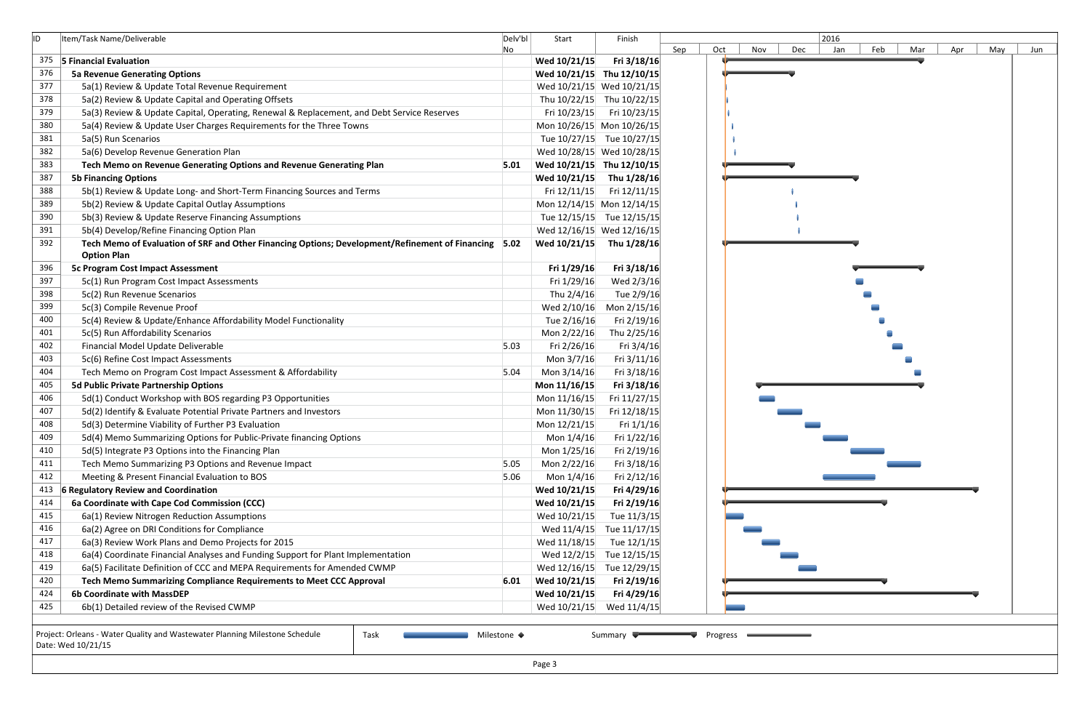| ID         | Item/Task Name/Deliverable                                                                           | Delv'bl | Start                     | Finish                    |                   |
|------------|------------------------------------------------------------------------------------------------------|---------|---------------------------|---------------------------|-------------------|
|            |                                                                                                      | No      |                           |                           | Sep<br>Oct<br>Nov |
| 375<br>376 | 5 Financial Evaluation                                                                               |         | Wed 10/21/15              | Fri 3/18/16               |                   |
| 377        | <b>5a Revenue Generating Options</b>                                                                 |         | Wed 10/21/15 Thu 12/10/15 |                           |                   |
| 378        | 5a(1) Review & Update Total Revenue Requirement                                                      |         |                           | Wed 10/21/15 Wed 10/21/15 |                   |
|            | 5a(2) Review & Update Capital and Operating Offsets                                                  |         |                           | Thu 10/22/15 Thu 10/22/15 |                   |
| 379        | 5a(3) Review & Update Capital, Operating, Renewal & Replacement, and Debt Service Reserves           |         | Fri 10/23/15              | Fri 10/23/15              |                   |
| 380        | 5a(4) Review & Update User Charges Requirements for the Three Towns                                  |         |                           | Mon 10/26/15 Mon 10/26/15 |                   |
| 381        | 5a(5) Run Scenarios                                                                                  |         |                           | Tue 10/27/15 Tue 10/27/15 |                   |
| 382        | 5a(6) Develop Revenue Generation Plan                                                                |         |                           | Wed 10/28/15 Wed 10/28/15 |                   |
| 383        | Tech Memo on Revenue Generating Options and Revenue Generating Plan                                  | 5.01    | Wed 10/21/15 Thu 12/10/15 |                           |                   |
| 387        | <b>5b Financing Options</b>                                                                          |         | Wed 10/21/15 Thu 1/28/16  |                           |                   |
| 388        | 5b(1) Review & Update Long- and Short-Term Financing Sources and Terms                               |         | Fri 12/11/15              | Fri 12/11/15              |                   |
| 389        | 5b(2) Review & Update Capital Outlay Assumptions                                                     |         |                           | Mon 12/14/15 Mon 12/14/15 |                   |
| 390        | 5b(3) Review & Update Reserve Financing Assumptions                                                  |         |                           | Tue 12/15/15 Tue 12/15/15 |                   |
| 391        | 5b(4) Develop/Refine Financing Option Plan                                                           |         |                           | Wed 12/16/15 Wed 12/16/15 |                   |
| 392        | Tech Memo of Evaluation of SRF and Other Financing Options; Development/Refinement of Financing 5.02 |         | Wed 10/21/15              | Thu 1/28/16               |                   |
|            | <b>Option Plan</b>                                                                                   |         |                           |                           |                   |
| 396        | <b>5c Program Cost Impact Assessment</b>                                                             |         | Fri 1/29/16               | Fri 3/18/16               |                   |
| 397        | 5c(1) Run Program Cost Impact Assessments                                                            |         | Fri 1/29/16               | Wed 2/3/16                |                   |
| 398        | 5c(2) Run Revenue Scenarios                                                                          |         | Thu 2/4/16                | Tue 2/9/16                |                   |
| 399        | 5c(3) Compile Revenue Proof                                                                          |         | Wed 2/10/16               | Mon 2/15/16               |                   |
| 400        | 5c(4) Review & Update/Enhance Affordability Model Functionality                                      |         | Tue 2/16/16               | Fri 2/19/16               |                   |
| 401        | 5c(5) Run Affordability Scenarios                                                                    |         | Mon 2/22/16               | Thu 2/25/16               |                   |
| 402        | Financial Model Update Deliverable                                                                   | 5.03    | Fri 2/26/16               | Fri $3/4/16$              |                   |
| 403        | 5c(6) Refine Cost Impact Assessments                                                                 |         | Mon 3/7/16                | Fri $3/11/16$             |                   |
| 404        | Tech Memo on Program Cost Impact Assessment & Affordability                                          | 5.04    | Mon 3/14/16               | Fri 3/18/16               |                   |
| 405        | 5d Public Private Partnership Options                                                                |         | Mon 11/16/15              | Fri 3/18/16               |                   |
| 406        | 5d(1) Conduct Workshop with BOS regarding P3 Opportunities                                           |         | Mon 11/16/15              | Fri 11/27/15              |                   |
| 407        | 5d(2) Identify & Evaluate Potential Private Partners and Investors                                   |         | Mon 11/30/15              | Fri 12/18/15              |                   |
| 408        | 5d(3) Determine Viability of Further P3 Evaluation                                                   |         | Mon 12/21/15              | Fri $1/1/16$              |                   |
| 409        | 5d(4) Memo Summarizing Options for Public-Private financing Options                                  |         | Mon 1/4/16                | Fri 1/22/16               |                   |
| 410        | 5d(5) Integrate P3 Options into the Financing Plan                                                   |         | Mon 1/25/16               | Fri 2/19/16               |                   |
| 411        | Tech Memo Summarizing P3 Options and Revenue Impact                                                  | 5.05    | Mon 2/22/16               | Fri 3/18/16               |                   |
| 412        | Meeting & Present Financial Evaluation to BOS                                                        | 5.06    | Mon 1/4/16                | Fri 2/12/16               |                   |
| 413        | <b>6 Regulatory Review and Coordination</b>                                                          |         | Wed 10/21/15              | Fri 4/29/16               |                   |
| 414        | 6a Coordinate with Cape Cod Commission (CCC)                                                         |         | Wed 10/21/15              | Fri 2/19/16               |                   |
| 415        | 6a(1) Review Nitrogen Reduction Assumptions                                                          |         | Wed 10/21/15              | Tue 11/3/15               |                   |
| 416        | 6a(2) Agree on DRI Conditions for Compliance                                                         |         | Wed 11/4/15               | Tue 11/17/15              |                   |
| 417        | 6a(3) Review Work Plans and Demo Projects for 2015                                                   |         | Wed 11/18/15              | Tue 12/1/15               |                   |
| 418        | 6a(4) Coordinate Financial Analyses and Funding Support for Plant Implementation                     |         | Wed 12/2/15               | Tue 12/15/15              |                   |
| 419        | 6a(5) Facilitate Definition of CCC and MEPA Requirements for Amended CWMP                            |         | Wed 12/16/15              | Tue 12/29/15              |                   |
| 420        | Tech Memo Summarizing Compliance Requirements to Meet CCC Approval                                   | 6.01    | Wed 10/21/15              | Fri 2/19/16               |                   |
| 424        | 6b Coordinate with MassDEP                                                                           |         | Wed 10/21/15              | Fri 4/29/16               |                   |
| 425        | 6b(1) Detailed review of the Revised CWMP                                                            |         | Wed 10/21/15              | Wed 11/4/15               |                   |



| ٠ |
|---|